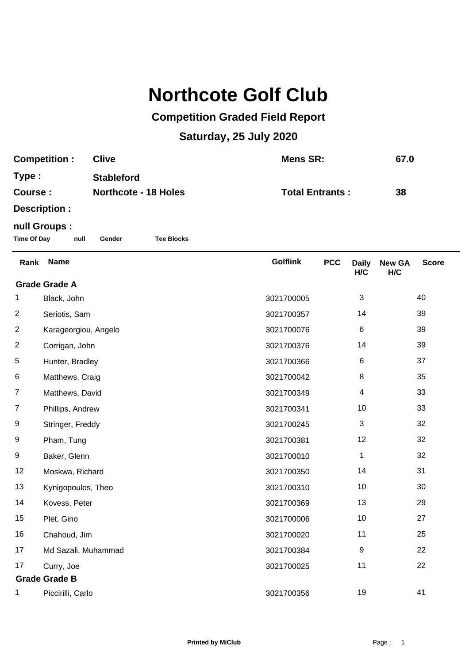## **Northcote Golf Club**

## **Competition Graded Field Report**

## **Saturday, 25 July 2020**

| <b>Competition:</b> | <b>Clive</b>                | Mens SR:               | 67.0 |
|---------------------|-----------------------------|------------------------|------|
| Type:               | <b>Stableford</b>           |                        |      |
| Course:             | <b>Northcote - 18 Holes</b> | <b>Total Entrants:</b> | 38   |
| Docerintion -       |                             |                        |      |

**Description :**

## **null Groups :**

**Time Of Day null Gender Tee Blocks**

| Rank                 | <b>Name</b>          | <b>Golflink</b> | <b>PCC</b> | <b>Daily</b><br>H/C | <b>New GA</b><br>H/C | <b>Score</b> |  |
|----------------------|----------------------|-----------------|------------|---------------------|----------------------|--------------|--|
| <b>Grade Grade A</b> |                      |                 |            |                     |                      |              |  |
| 1                    | Black, John          | 3021700005      |            | 3                   |                      | 40           |  |
| $\overline{2}$       | Seriotis, Sam        | 3021700357      |            | 14                  |                      | 39           |  |
| $\overline{2}$       | Karageorgiou, Angelo | 3021700076      |            | 6                   |                      | 39           |  |
| $\overline{2}$       | Corrigan, John       | 3021700376      |            | 14                  |                      | 39           |  |
| 5                    | Hunter, Bradley      | 3021700366      |            | $\,6$               |                      | 37           |  |
| 6                    | Matthews, Craig      | 3021700042      |            | 8                   |                      | 35           |  |
| 7                    | Matthews, David      | 3021700349      |            | 4                   |                      | 33           |  |
| 7                    | Phillips, Andrew     | 3021700341      |            | 10                  |                      | 33           |  |
| 9                    | Stringer, Freddy     | 3021700245      |            | 3                   |                      | 32           |  |
| 9                    | Pham, Tung           | 3021700381      |            | 12                  |                      | 32           |  |
| 9                    | Baker, Glenn         | 3021700010      |            | $\mathbf 1$         |                      | 32           |  |
| 12                   | Moskwa, Richard      | 3021700350      |            | 14                  |                      | 31           |  |
| 13                   | Kynigopoulos, Theo   | 3021700310      |            | 10                  |                      | 30           |  |
| 14                   | Kovess, Peter        | 3021700369      |            | 13                  |                      | 29           |  |
| 15                   | Plet, Gino           | 3021700006      |            | 10                  |                      | 27           |  |
| 16                   | Chahoud, Jim         | 3021700020      |            | 11                  |                      | 25           |  |
| 17                   | Md Sazali, Muhammad  | 3021700384      |            | 9                   |                      | 22           |  |
| 17                   | Curry, Joe           | 3021700025      |            | 11                  |                      | 22           |  |
| <b>Grade Grade B</b> |                      |                 |            |                     |                      |              |  |
| 1                    | Piccirilli, Carlo    | 3021700356      |            | 19                  |                      | 41           |  |